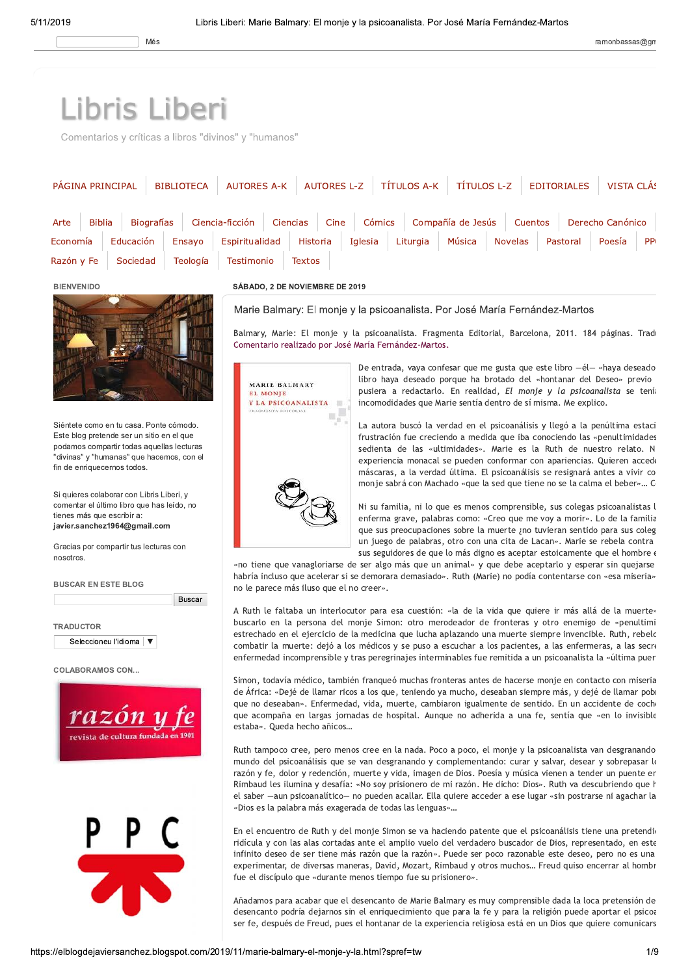## Libris Liberi

Comentarios y críticas a libros "divinos" y "humanos"

| Compañía de Jesús<br>Ciencia-ficción<br>Cómics<br>Cuentos<br>Derecho Canónico<br>Espiritualidad<br>Educación<br>Historia<br>Iglesia<br>Liturgia<br>Música<br><b>Novelas</b><br>Pastoral<br>Poesía<br><b>PP</b><br>Economía<br>Ensayo<br>Razón y Fe<br>Sociedad<br>Teología<br>Testimonio<br><b>Textos</b><br>SÁBADO, 2 DE NOVIEMBRE DE 2019<br><b>BIENVENIDO</b><br>Marie Balmary: El monje y la psicoanalista. Por José María Fernández-Martos<br>Balmary, Marie: El monje y la psicoanalista. Fragmenta Editorial, Barcelona, 2011. 184 páginas. Trad<br>Comentario realizado por José María Fernández-Martos.<br>De entrada, vaya confesar que me gusta que este libro -él- «haya deseado<br>libro haya deseado porque ha brotado del «hontanar del Deseo» previo<br>MARIE BALMARY<br>pusiera a redactarlo. En realidad, El monje y la psicoanalista se tenía<br><b>EL MONJE</b><br>incomodidades que Marie sentía dentro de sí misma. Me explico.<br>Y LA PSICOANALISTA<br>里<br>FRAGMENTA EDITORIAL<br>٦.,<br>Siéntete como en tu casa. Ponte cómodo.<br>La autora buscó la verdad en el psicoanálisis y llegó a la penúltima estaci<br>Este blog pretende ser un sitio en el que<br>frustración fue creciendo a medida que iba conociendo las «penultimidades<br>podamos compartir todas aquellas lecturas<br>sedienta de las «ultimidades». Marie es la Ruth de nuestro relato. N<br>"divinas" y "humanas" que hacemos, con el<br>experiencia monacal se pueden conformar con apariencias. Quieren accede<br>fin de enriquecernos todos.<br>máscaras, a la verdad última. El psicoanálisis se resignará antes a vivir co<br>monje sabrá con Machado «que la sed que tiene no se la calma el beber» C<br>Si quieres colaborar con Libris Liberi, y<br>comentar el último libro que has leído, no<br>Ni su familia, ni lo que es menos comprensible, sus colegas psicoanalistas l<br>tienes más que escribir a:<br>enferma grave, palabras como: «Creo que me voy a morir». Lo de la familia<br>javier.sanchez1964@gmail.com<br>que sus preocupaciones sobre la muerte ¿no tuvieran sentido para sus coleg<br>un juego de palabras, otro con una cita de Lacan». Marie se rebela contra<br>Gracias por compartir tus lecturas con<br>sus seguidores de que lo más digno es aceptar estoicamente que el hombre «<br>nosotros.<br>«no tiene que vanagloriarse de ser algo más que un animal» y que debe aceptarlo y esperar sin quejarse<br>habría incluso que acelerar si se demorara demasiado». Ruth (Marie) no podía contentarse con «esa miseria»<br><b>BUSCAR EN ESTE BLOG</b><br>no le parece más iluso que el no creer».<br><b>Buscar</b><br>A Ruth le faltaba un interlocutor para esa cuestión: «la de la vida que quiere ir más allá de la muerte»<br>buscarlo en la persona del monje Simon: otro merodeador de fronteras y otro enemigo de «penultimi<br><b>TRADUCTOR</b><br>estrechado en el ejercicio de la medicina que lucha aplazando una muerte siempre invencible. Ruth, rebelc<br>Seleccioneu l'idioma V<br>combatir la muerte: dejó a los médicos y se puso a escuchar a los pacientes, a las enfermeras, a las secro<br>enfermedad incomprensible y tras peregrinajes interminables fue remitida a un psicoanalista la «última puer<br><b>COLABORAMOS CON</b><br>Simon, todavía médico, también franqueó muchas fronteras antes de hacerse monje en contacto con miseria<br>de África: «Dejé de llamar ricos a los que, teniendo ya mucho, deseaban siempre más, y dejé de llamar pob<br>que no deseaban». Enfermedad, vida, muerte, cambiaron igualmente de sentido. En un accidente de coch<br>razón<br>que acompaña en largas jornadas de hospital. Aunque no adherida a una fe, sentía que «en lo invisible<br>estaba». Queda hecho añicos<br>revista de cultura fundada en 190<br>Ruth tampoco cree, pero menos cree en la nada. Poco a poco, el monje y la psicoanalista van desgranando<br>mundo del psicoanálisis que se van desgranando y complementando: curar y salvar, desear y sobrepasar lo<br>razón y fe, dolor y redención, muerte y vida, imagen de Dios. Poesía y música vienen a tender un puente er<br>Rimbaud les ilumina y desafía: «No soy prisionero de mi razón. He dicho: Dios». Ruth va descubriendo que h<br>el saber -aun psicoanalítico- no pueden acallar. Ella quiere acceder a ese lugar «sin postrarse ni agachar la<br>«Dios es la palabra más exagerada de todas las lenguas»<br>En el encuentro de Ruth y del monje Simon se va haciendo patente que el psicoanálisis tiene una pretendio<br><b>THE</b><br>ridícula y con las alas cortadas ante el amplio vuelo del verdadero buscador de Dios, representado, en este<br>infinito deseo de ser tiene más razón que la razón». Puede ser poco razonable este deseo, pero no es una<br>experimentar, de diversas maneras, David, Mozart, Rimbaud y otros muchos Freud quiso encerrar al hombr<br>fue el discípulo que «durante menos tiempo fue su prisionero».<br>Añadamos para acabar que el desencanto de Marie Balmary es muy comprensible dada la loca pretensión de<br>desencanto podría dejarnos sin el enriquecimiento que para la fe y para la religión puede aportar el psicoa<br>ser fe, después de Freud, pues el hontanar de la experiencia religiosa está en un Dios que quiere comunicars<br>https://elblogdejaviersanchez.blogspot.com/2019/11/marie-balmary-el-monje-y-la.html?spref=tw |                                            |                  |  |  |
|-----------------------------------------------------------------------------------------------------------------------------------------------------------------------------------------------------------------------------------------------------------------------------------------------------------------------------------------------------------------------------------------------------------------------------------------------------------------------------------------------------------------------------------------------------------------------------------------------------------------------------------------------------------------------------------------------------------------------------------------------------------------------------------------------------------------------------------------------------------------------------------------------------------------------------------------------------------------------------------------------------------------------------------------------------------------------------------------------------------------------------------------------------------------------------------------------------------------------------------------------------------------------------------------------------------------------------------------------------------------------------------------------------------------------------------------------------------------------------------------------------------------------------------------------------------------------------------------------------------------------------------------------------------------------------------------------------------------------------------------------------------------------------------------------------------------------------------------------------------------------------------------------------------------------------------------------------------------------------------------------------------------------------------------------------------------------------------------------------------------------------------------------------------------------------------------------------------------------------------------------------------------------------------------------------------------------------------------------------------------------------------------------------------------------------------------------------------------------------------------------------------------------------------------------------------------------------------------------------------------------------------------------------------------------------------------------------------------------------------------------------------------------------------------------------------------------------------------------------------------------------------------------------------------------------------------------------------------------------------------------------------------------------------------------------------------------------------------------------------------------------------------------------------------------------------------------------------------------------------------------------------------------------------------------------------------------------------------------------------------------------------------------------------------------------------------------------------------------------------------------------------------------------------------------------------------------------------------------------------------------------------------------------------------------------------------------------------------------------------------------------------------------------------------------------------------------------------------------------------------------------------------------------------------------------------------------------------------------------------------------------------------------------------------------------------------------------------------------------------------------------------------------------------------------------------------------------------------------------------------------------------------------------------------------------------------------------------------------------------------------------------------------------------------------------------------------------------------------------------------------------------------------------------------------------------------------------------------------------------------------------------------------------------------------------------------------------------------------------------------------------------------------------------------------------------------------------------------------------------------------------------------------------------------------------------------------------------------------------------------------------------------------------------------------------------------------------------------------------------------------------------------------------------------------------------------------------------------------------------------------------------------------------------------------------------------------------------------------------------------------------------------------------------------------|--------------------------------------------|------------------|--|--|
|                                                                                                                                                                                                                                                                                                                                                                                                                                                                                                                                                                                                                                                                                                                                                                                                                                                                                                                                                                                                                                                                                                                                                                                                                                                                                                                                                                                                                                                                                                                                                                                                                                                                                                                                                                                                                                                                                                                                                                                                                                                                                                                                                                                                                                                                                                                                                                                                                                                                                                                                                                                                                                                                                                                                                                                                                                                                                                                                                                                                                                                                                                                                                                                                                                                                                                                                                                                                                                                                                                                                                                                                                                                                                                                                                                                                                                                                                                                                                                                                                                                                                                                                                                                                                                                                                                                                                                                                                                                                                                                                                                                                                                                                                                                                                                                                                                                                                                                                                                                                                                                                                                                                                                                                                                                                                                                                                                                                                       | <b>Biografías</b><br><b>Biblia</b><br>Arte | Cine<br>Ciencias |  |  |
| 1/9                                                                                                                                                                                                                                                                                                                                                                                                                                                                                                                                                                                                                                                                                                                                                                                                                                                                                                                                                                                                                                                                                                                                                                                                                                                                                                                                                                                                                                                                                                                                                                                                                                                                                                                                                                                                                                                                                                                                                                                                                                                                                                                                                                                                                                                                                                                                                                                                                                                                                                                                                                                                                                                                                                                                                                                                                                                                                                                                                                                                                                                                                                                                                                                                                                                                                                                                                                                                                                                                                                                                                                                                                                                                                                                                                                                                                                                                                                                                                                                                                                                                                                                                                                                                                                                                                                                                                                                                                                                                                                                                                                                                                                                                                                                                                                                                                                                                                                                                                                                                                                                                                                                                                                                                                                                                                                                                                                                                                   |                                            |                  |  |  |
|                                                                                                                                                                                                                                                                                                                                                                                                                                                                                                                                                                                                                                                                                                                                                                                                                                                                                                                                                                                                                                                                                                                                                                                                                                                                                                                                                                                                                                                                                                                                                                                                                                                                                                                                                                                                                                                                                                                                                                                                                                                                                                                                                                                                                                                                                                                                                                                                                                                                                                                                                                                                                                                                                                                                                                                                                                                                                                                                                                                                                                                                                                                                                                                                                                                                                                                                                                                                                                                                                                                                                                                                                                                                                                                                                                                                                                                                                                                                                                                                                                                                                                                                                                                                                                                                                                                                                                                                                                                                                                                                                                                                                                                                                                                                                                                                                                                                                                                                                                                                                                                                                                                                                                                                                                                                                                                                                                                                                       |                                            |                  |  |  |
|                                                                                                                                                                                                                                                                                                                                                                                                                                                                                                                                                                                                                                                                                                                                                                                                                                                                                                                                                                                                                                                                                                                                                                                                                                                                                                                                                                                                                                                                                                                                                                                                                                                                                                                                                                                                                                                                                                                                                                                                                                                                                                                                                                                                                                                                                                                                                                                                                                                                                                                                                                                                                                                                                                                                                                                                                                                                                                                                                                                                                                                                                                                                                                                                                                                                                                                                                                                                                                                                                                                                                                                                                                                                                                                                                                                                                                                                                                                                                                                                                                                                                                                                                                                                                                                                                                                                                                                                                                                                                                                                                                                                                                                                                                                                                                                                                                                                                                                                                                                                                                                                                                                                                                                                                                                                                                                                                                                                                       |                                            |                  |  |  |
|                                                                                                                                                                                                                                                                                                                                                                                                                                                                                                                                                                                                                                                                                                                                                                                                                                                                                                                                                                                                                                                                                                                                                                                                                                                                                                                                                                                                                                                                                                                                                                                                                                                                                                                                                                                                                                                                                                                                                                                                                                                                                                                                                                                                                                                                                                                                                                                                                                                                                                                                                                                                                                                                                                                                                                                                                                                                                                                                                                                                                                                                                                                                                                                                                                                                                                                                                                                                                                                                                                                                                                                                                                                                                                                                                                                                                                                                                                                                                                                                                                                                                                                                                                                                                                                                                                                                                                                                                                                                                                                                                                                                                                                                                                                                                                                                                                                                                                                                                                                                                                                                                                                                                                                                                                                                                                                                                                                                                       |                                            |                  |  |  |
|                                                                                                                                                                                                                                                                                                                                                                                                                                                                                                                                                                                                                                                                                                                                                                                                                                                                                                                                                                                                                                                                                                                                                                                                                                                                                                                                                                                                                                                                                                                                                                                                                                                                                                                                                                                                                                                                                                                                                                                                                                                                                                                                                                                                                                                                                                                                                                                                                                                                                                                                                                                                                                                                                                                                                                                                                                                                                                                                                                                                                                                                                                                                                                                                                                                                                                                                                                                                                                                                                                                                                                                                                                                                                                                                                                                                                                                                                                                                                                                                                                                                                                                                                                                                                                                                                                                                                                                                                                                                                                                                                                                                                                                                                                                                                                                                                                                                                                                                                                                                                                                                                                                                                                                                                                                                                                                                                                                                                       |                                            |                  |  |  |
|                                                                                                                                                                                                                                                                                                                                                                                                                                                                                                                                                                                                                                                                                                                                                                                                                                                                                                                                                                                                                                                                                                                                                                                                                                                                                                                                                                                                                                                                                                                                                                                                                                                                                                                                                                                                                                                                                                                                                                                                                                                                                                                                                                                                                                                                                                                                                                                                                                                                                                                                                                                                                                                                                                                                                                                                                                                                                                                                                                                                                                                                                                                                                                                                                                                                                                                                                                                                                                                                                                                                                                                                                                                                                                                                                                                                                                                                                                                                                                                                                                                                                                                                                                                                                                                                                                                                                                                                                                                                                                                                                                                                                                                                                                                                                                                                                                                                                                                                                                                                                                                                                                                                                                                                                                                                                                                                                                                                                       |                                            |                  |  |  |
|                                                                                                                                                                                                                                                                                                                                                                                                                                                                                                                                                                                                                                                                                                                                                                                                                                                                                                                                                                                                                                                                                                                                                                                                                                                                                                                                                                                                                                                                                                                                                                                                                                                                                                                                                                                                                                                                                                                                                                                                                                                                                                                                                                                                                                                                                                                                                                                                                                                                                                                                                                                                                                                                                                                                                                                                                                                                                                                                                                                                                                                                                                                                                                                                                                                                                                                                                                                                                                                                                                                                                                                                                                                                                                                                                                                                                                                                                                                                                                                                                                                                                                                                                                                                                                                                                                                                                                                                                                                                                                                                                                                                                                                                                                                                                                                                                                                                                                                                                                                                                                                                                                                                                                                                                                                                                                                                                                                                                       |                                            |                  |  |  |